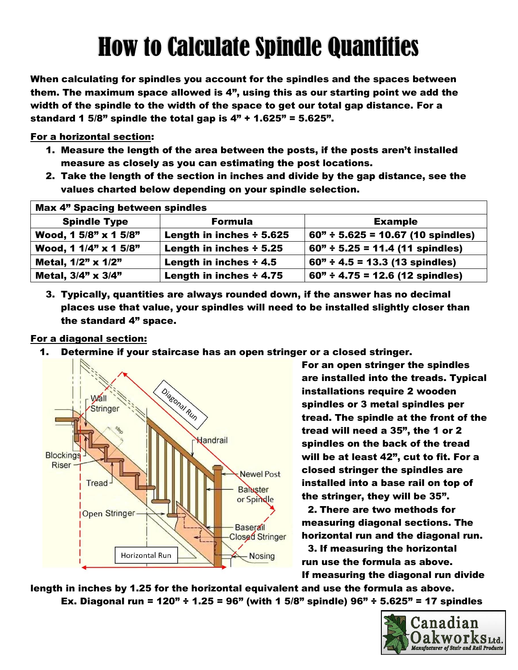# How to Calculate Spindle Quantities

When calculating for spindles you account for the spindles and the spaces between them. The maximum space allowed is 4", using this as our starting point we add the width of the spindle to the width of the space to get our total gap distance. For a standard 1 5/8" spindle the total gap is  $4" + 1.625" = 5.625"$ .

For a horizontal section:

- 1. Measure the length of the area between the posts, if the posts aren't installed measure as closely as you can estimating the post locations.
- 2. Take the length of the section in inches and divide by the gap distance, see the values charted below depending on your spindle selection.

| <b>Max 4" Spacing between spindles</b> |                              |                                     |  |
|----------------------------------------|------------------------------|-------------------------------------|--|
| <b>Spindle Type</b>                    | <b>Formula</b>               | <b>Example</b>                      |  |
| Wood, 1 5/8" x 1 5/8"                  | Length in inches + 5.625     | $60" + 5.625 = 10.67$ (10 spindles) |  |
| Wood, 1 1/4" x 1 5/8"                  | Length in inches $\div$ 5.25 | $60" + 5.25 = 11.4$ (11 spindles)   |  |
| Metal, 1/2" x 1/2"                     | Length in inches $\div$ 4.5  | $60" + 4.5 = 13.3$ (13 spindles)    |  |
| Metal, 3/4" x 3/4"                     | Length in inches ÷ 4.75      | $60" + 4.75 = 12.6$ (12 spindles)   |  |

3. Typically, quantities are always rounded down, if the answer has no decimal places use that value, your spindles will need to be installed slightly closer than the standard 4" space.

#### For a diagonal section:

1. Determine if your staircase has an open stringer or a closed stringer.



For an open stringer the spindles are installed into the treads. Typical installations require 2 wooden spindles or 3 metal spindles per tread. The spindle at the front of the tread will need a 35", the 1 or 2 spindles on the back of the tread will be at least 42", cut to fit. For a closed stringer the spindles are installed into a base rail on top of the stringer, they will be 35".

2. There are two methods for measuring diagonal sections. The horizontal run and the diagonal run.

3. If measuring the horizontal run use the formula as above. If measuring the diagonal run divide

length in inches by 1.25 for the horizontal equivalent and use the formula as above. Ex. Diagonal run =  $120$ " ÷  $1.25$  =  $96$ " (with 1  $5/8$ " spindle)  $96$ " ÷  $5.625$ " = 17 spindles

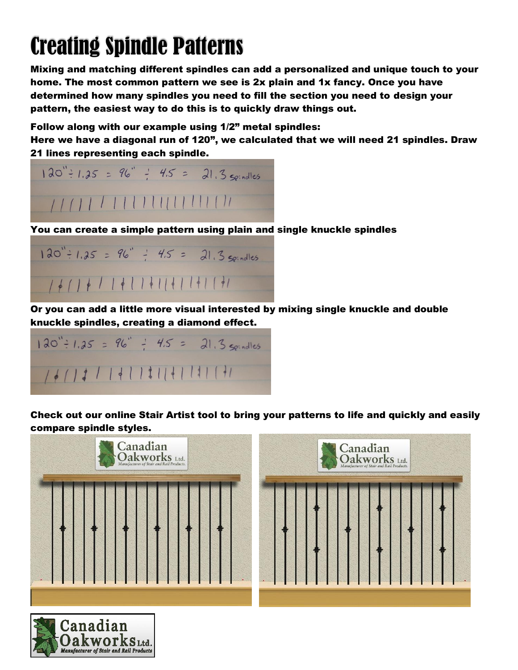### Creating Spindle Patterns

Mixing and matching different spindles can add a personalized and unique touch to your home. The most common pattern we see is 2x plain and 1x fancy. Once you have determined how many spindles you need to fill the section you need to design your pattern, the easiest way to do this is to quickly draw things out.

Follow along with our example using 1/2" metal spindles:

Here we have a diagonal run of 120", we calculated that we will need 21 spindles. Draw 21 lines representing each spindle.



You can create a simple pattern using plain and single knuckle spindles



Or you can add a little more visual interested by mixing single knuckle and double knuckle spindles, creating a diamond effect.



Check out our online Stair Artist tool to bring your patterns to life and quickly and easily compare spindle styles.





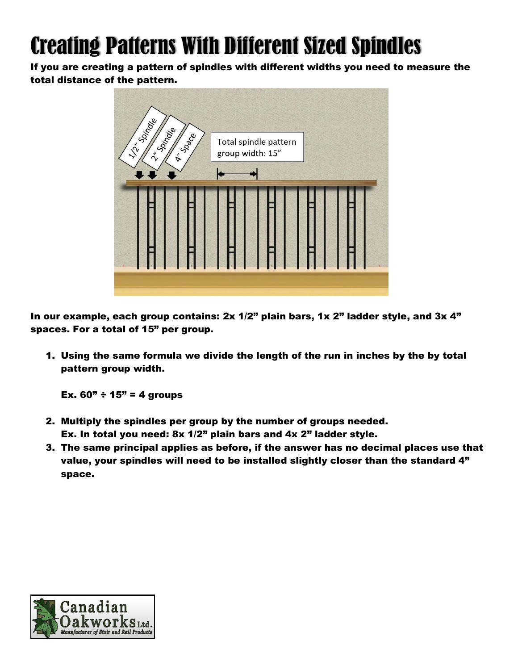## Creating Patterns With Different Sized Spindles

If you are creating a pattern of spindles with different widths you need to measure the total distance of the pattern.



In our example, each group contains: 2x 1/2" plain bars, 1x 2" ladder style, and 3x 4" spaces. For a total of 15" per group.

1. Using the same formula we divide the length of the run in inches by the by total pattern group width.

Ex.  $60" + 15" = 4$  groups

- 2. Multiply the spindles per group by the number of groups needed. Ex. In total you need: 8x 1/2" plain bars and 4x 2" ladder style.
- 3. The same principal applies as before, if the answer has no decimal places use that value, your spindles will need to be installed slightly closer than the standard 4" space.